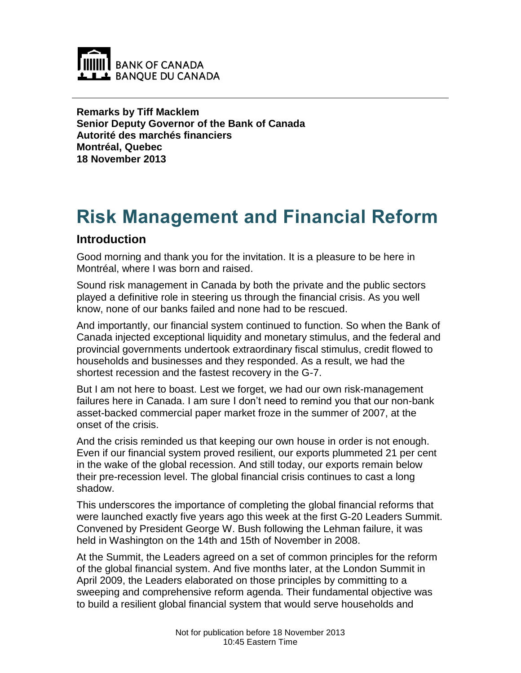

**Remarks by Tiff Macklem Senior Deputy Governor of the Bank of Canada Autorité des marchés financiers Montréal, Quebec 18 November 2013**

# **Risk Management and Financial Reform**

#### **Introduction**

Good morning and thank you for the invitation. It is a pleasure to be here in Montréal, where I was born and raised.

Sound risk management in Canada by both the private and the public sectors played a definitive role in steering us through the financial crisis. As you well know, none of our banks failed and none had to be rescued.

And importantly, our financial system continued to function. So when the Bank of Canada injected exceptional liquidity and monetary stimulus, and the federal and provincial governments undertook extraordinary fiscal stimulus, credit flowed to households and businesses and they responded. As a result, we had the shortest recession and the fastest recovery in the G-7.

But I am not here to boast. Lest we forget, we had our own risk-management failures here in Canada. I am sure I don't need to remind you that our non-bank asset-backed commercial paper market froze in the summer of 2007, at the onset of the crisis.

And the crisis reminded us that keeping our own house in order is not enough. Even if our financial system proved resilient, our exports plummeted 21 per cent in the wake of the global recession. And still today, our exports remain below their pre-recession level. The global financial crisis continues to cast a long shadow.

This underscores the importance of completing the global financial reforms that were launched exactly five years ago this week at the first G-20 Leaders Summit. Convened by President George W. Bush following the Lehman failure, it was held in Washington on the 14th and 15th of November in 2008.

At the Summit, the Leaders agreed on a set of common principles for the reform of the global financial system. And five months later, at the London Summit in April 2009, the Leaders elaborated on those principles by committing to a sweeping and comprehensive reform agenda. Their fundamental objective was to build a resilient global financial system that would serve households and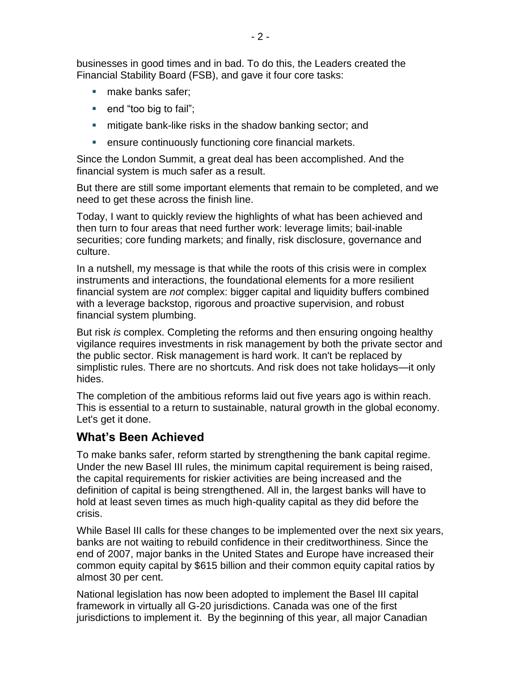businesses in good times and in bad. To do this, the Leaders created the Financial Stability Board (FSB), and gave it four core tasks:

- make banks safer;
- $\blacksquare$  end "too big to fail";
- **F** mitigate bank-like risks in the shadow banking sector; and
- **EXECTE:** ensure continuously functioning core financial markets.

Since the London Summit, a great deal has been accomplished. And the financial system is much safer as a result.

But there are still some important elements that remain to be completed, and we need to get these across the finish line.

Today, I want to quickly review the highlights of what has been achieved and then turn to four areas that need further work: leverage limits; bail-inable securities; core funding markets; and finally, risk disclosure, governance and culture.

In a nutshell, my message is that while the roots of this crisis were in complex instruments and interactions, the foundational elements for a more resilient financial system are *not* complex: bigger capital and liquidity buffers combined with a leverage backstop, rigorous and proactive supervision, and robust financial system plumbing.

But risk *is* complex. Completing the reforms and then ensuring ongoing healthy vigilance requires investments in risk management by both the private sector and the public sector. Risk management is hard work. It can't be replaced by simplistic rules. There are no shortcuts. And risk does not take holidays—it only hides.

The completion of the ambitious reforms laid out five years ago is within reach. This is essential to a return to sustainable, natural growth in the global economy. Let's get it done.

#### **What's Been Achieved**

To make banks safer, reform started by strengthening the bank capital regime. Under the new Basel III rules, the minimum capital requirement is being raised, the capital requirements for riskier activities are being increased and the definition of capital is being strengthened. All in, the largest banks will have to hold at least seven times as much high-quality capital as they did before the crisis.

While Basel III calls for these changes to be implemented over the next six years, banks are not waiting to rebuild confidence in their creditworthiness. Since the end of 2007, major banks in the United States and Europe have increased their common equity capital by \$615 billion and their common equity capital ratios by almost 30 per cent.

National legislation has now been adopted to implement the Basel III capital framework in virtually all G-20 jurisdictions. Canada was one of the first jurisdictions to implement it. By the beginning of this year, all major Canadian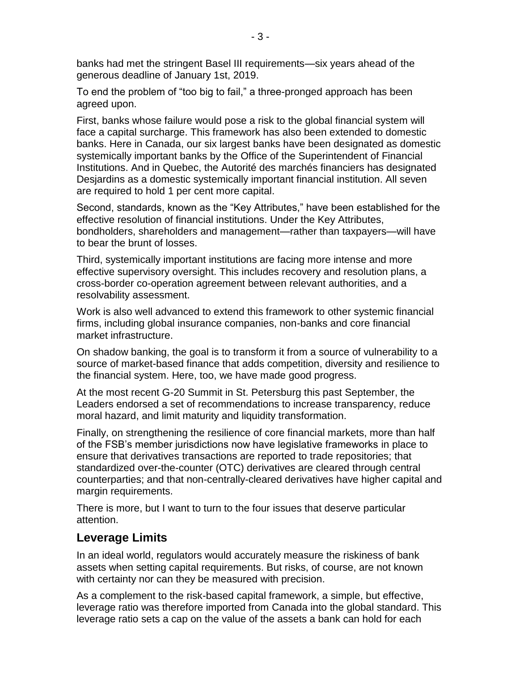banks had met the stringent Basel III requirements—six years ahead of the generous deadline of January 1st, 2019.

To end the problem of "too big to fail," a three-pronged approach has been agreed upon.

First, banks whose failure would pose a risk to the global financial system will face a capital surcharge. This framework has also been extended to domestic banks. Here in Canada, our six largest banks have been designated as domestic systemically important banks by the Office of the Superintendent of Financial Institutions. And in Quebec, the Autorité des marchés financiers has designated Desjardins as a domestic systemically important financial institution. All seven are required to hold 1 per cent more capital.

Second, standards, known as the "Key Attributes," have been established for the effective resolution of financial institutions. Under the Key Attributes, bondholders, shareholders and management—rather than taxpayers—will have to bear the brunt of losses.

Third, systemically important institutions are facing more intense and more effective supervisory oversight. This includes recovery and resolution plans, a cross-border co-operation agreement between relevant authorities, and a resolvability assessment.

Work is also well advanced to extend this framework to other systemic financial firms, including global insurance companies, non-banks and core financial market infrastructure.

On shadow banking, the goal is to transform it from a source of vulnerability to a source of market-based finance that adds competition, diversity and resilience to the financial system. Here, too, we have made good progress.

At the most recent G-20 Summit in St. Petersburg this past September, the Leaders endorsed a set of recommendations to increase transparency, reduce moral hazard, and limit maturity and liquidity transformation.

Finally, on strengthening the resilience of core financial markets, more than half of the FSB's member jurisdictions now have legislative frameworks in place to ensure that derivatives transactions are reported to trade repositories; that standardized over-the-counter (OTC) derivatives are cleared through central counterparties; and that non-centrally-cleared derivatives have higher capital and margin requirements.

There is more, but I want to turn to the four issues that deserve particular attention.

#### **Leverage Limits**

In an ideal world, regulators would accurately measure the riskiness of bank assets when setting capital requirements. But risks, of course, are not known with certainty nor can they be measured with precision.

As a complement to the risk-based capital framework, a simple, but effective, leverage ratio was therefore imported from Canada into the global standard. This leverage ratio sets a cap on the value of the assets a bank can hold for each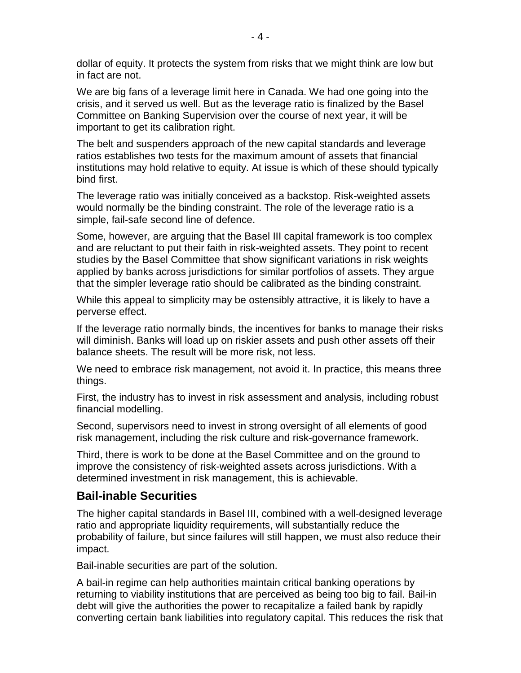dollar of equity. It protects the system from risks that we might think are low but in fact are not.

We are big fans of a leverage limit here in Canada. We had one going into the crisis, and it served us well. But as the leverage ratio is finalized by the Basel Committee on Banking Supervision over the course of next year, it will be important to get its calibration right.

The belt and suspenders approach of the new capital standards and leverage ratios establishes two tests for the maximum amount of assets that financial institutions may hold relative to equity. At issue is which of these should typically bind first.

The leverage ratio was initially conceived as a backstop. Risk-weighted assets would normally be the binding constraint. The role of the leverage ratio is a simple, fail-safe second line of defence.

Some, however, are arguing that the Basel III capital framework is too complex and are reluctant to put their faith in risk-weighted assets. They point to recent studies by the Basel Committee that show significant variations in risk weights applied by banks across jurisdictions for similar portfolios of assets. They argue that the simpler leverage ratio should be calibrated as the binding constraint.

While this appeal to simplicity may be ostensibly attractive, it is likely to have a perverse effect.

If the leverage ratio normally binds, the incentives for banks to manage their risks will diminish. Banks will load up on riskier assets and push other assets off their balance sheets. The result will be more risk, not less.

We need to embrace risk management, not avoid it. In practice, this means three things.

First, the industry has to invest in risk assessment and analysis, including robust financial modelling.

Second, supervisors need to invest in strong oversight of all elements of good risk management, including the risk culture and risk-governance framework.

Third, there is work to be done at the Basel Committee and on the ground to improve the consistency of risk-weighted assets across jurisdictions. With a determined investment in risk management, this is achievable.

#### **Bail-inable Securities**

The higher capital standards in Basel III, combined with a well-designed leverage ratio and appropriate liquidity requirements, will substantially reduce the probability of failure, but since failures will still happen, we must also reduce their impact.

Bail-inable securities are part of the solution.

A bail-in regime can help authorities maintain critical banking operations by returning to viability institutions that are perceived as being too big to fail. Bail-in debt will give the authorities the power to recapitalize a failed bank by rapidly converting certain bank liabilities into regulatory capital. This reduces the risk that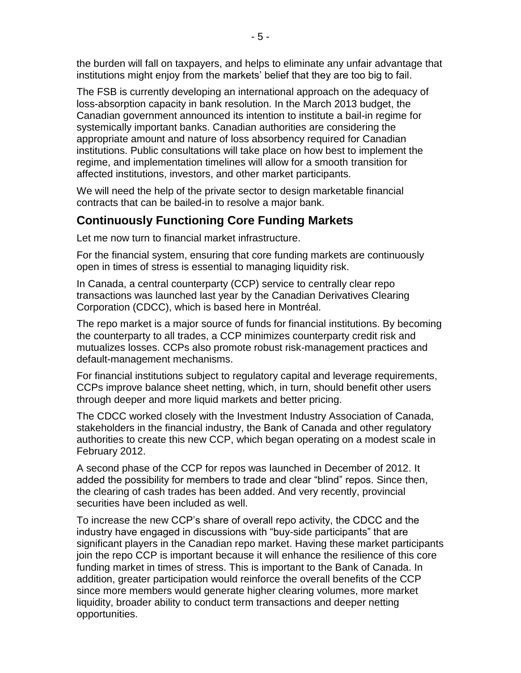the burden will fall on taxpayers, and helps to eliminate any unfair advantage that institutions might enjoy from the markets' belief that they are too big to fail.

The FSB is currently developing an international approach on the adequacy of loss-absorption capacity in bank resolution. In the March 2013 budget, the Canadian government announced its intention to institute a bail-in regime for systemically important banks. Canadian authorities are considering the appropriate amount and nature of loss absorbency required for Canadian institutions. Public consultations will take place on how best to implement the regime, and implementation timelines will allow for a smooth transition for affected institutions, investors, and other market participants.

We will need the help of the private sector to design marketable financial contracts that can be bailed-in to resolve a major bank.

#### **Continuously Functioning Core Funding Markets**

Let me now turn to financial market infrastructure.

For the financial system, ensuring that core funding markets are continuously open in times of stress is essential to managing liquidity risk.

In Canada, a central counterparty (CCP) service to centrally clear repo transactions was launched last year by the Canadian Derivatives Clearing Corporation (CDCC), which is based here in Montréal.

The repo market is a major source of funds for financial institutions. By becoming the counterparty to all trades, a CCP minimizes counterparty credit risk and mutualizes losses. CCPs also promote robust risk-management practices and default-management mechanisms.

For financial institutions subject to regulatory capital and leverage requirements, CCPs improve balance sheet netting, which, in turn, should benefit other users through deeper and more liquid markets and better pricing.

The CDCC worked closely with the Investment Industry Association of Canada, stakeholders in the financial industry, the Bank of Canada and other regulatory authorities to create this new CCP, which began operating on a modest scale in February 2012.

A second phase of the CCP for repos was launched in December of 2012. It added the possibility for members to trade and clear "blind" repos. Since then, the clearing of cash trades has been added. And very recently, provincial securities have been included as well.

To increase the new CCP's share of overall repo activity, the CDCC and the industry have engaged in discussions with "buy-side participants" that are significant players in the Canadian repo market. Having these market participants join the repo CCP is important because it will enhance the resilience of this core funding market in times of stress. This is important to the Bank of Canada. In addition, greater participation would reinforce the overall benefits of the CCP since more members would generate higher clearing volumes, more market liquidity, broader ability to conduct term transactions and deeper netting opportunities.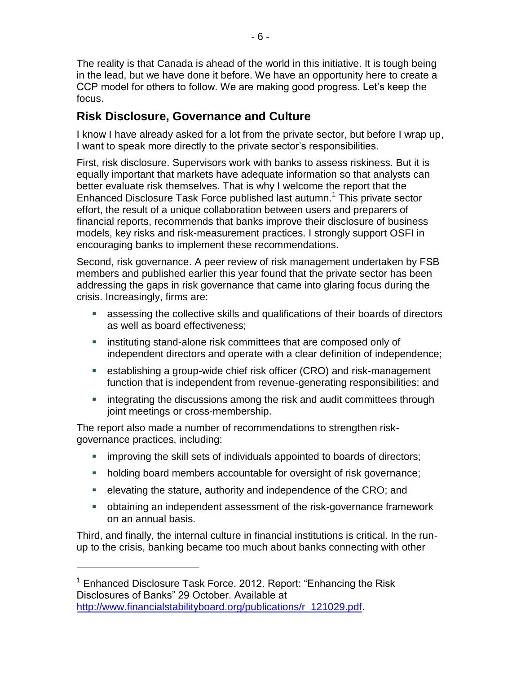The reality is that Canada is ahead of the world in this initiative. It is tough being in the lead, but we have done it before. We have an opportunity here to create a CCP model for others to follow. We are making good progress. Let's keep the focus.

## **Risk Disclosure, Governance and Culture**

I know I have already asked for a lot from the private sector, but before I wrap up, I want to speak more directly to the private sector's responsibilities.

First, risk disclosure. Supervisors work with banks to assess riskiness. But it is equally important that markets have adequate information so that analysts can better evaluate risk themselves. That is why I welcome the report that the Enhanced Disclosure Task Force published last autumn.<sup>1</sup> This private sector effort, the result of a unique collaboration between users and preparers of financial reports, recommends that banks improve their disclosure of business models, key risks and risk-measurement practices. I strongly support OSFI in encouraging banks to implement these recommendations.

Second, risk governance. A peer review of risk management undertaken by FSB members and published earlier this year found that the private sector has been addressing the gaps in risk governance that came into glaring focus during the crisis. Increasingly, firms are:

- assessing the collective skills and qualifications of their boards of directors as well as board effectiveness;
- **EXECT** instituting stand-alone risk committees that are composed only of independent directors and operate with a clear definition of independence;
- establishing a group-wide chief risk officer (CRO) and risk-management function that is independent from revenue-generating responsibilities; and
- integrating the discussions among the risk and audit committees through joint meetings or cross-membership.

The report also made a number of recommendations to strengthen riskgovernance practices, including:

- **EXED improving the skill sets of individuals appointed to boards of directors;**
- holding board members accountable for oversight of risk governance;
- **EXE** elevating the stature, authority and independence of the CRO; and
- obtaining an independent assessment of the risk-governance framework on an annual basis.

Third, and finally, the internal culture in financial institutions is critical. In the runup to the crisis, banking became too much about banks connecting with other

 $\overline{a}$ 

 $1$  Enhanced Disclosure Task Force. 2012. Report: "Enhancing the Risk Disclosures of Banks" 29 October. Available at [http://www.financialstabilityboard.org/publications/r\\_121029.pdf.](http://www.financialstabilityboard.org/publications/r_121029.pdf)